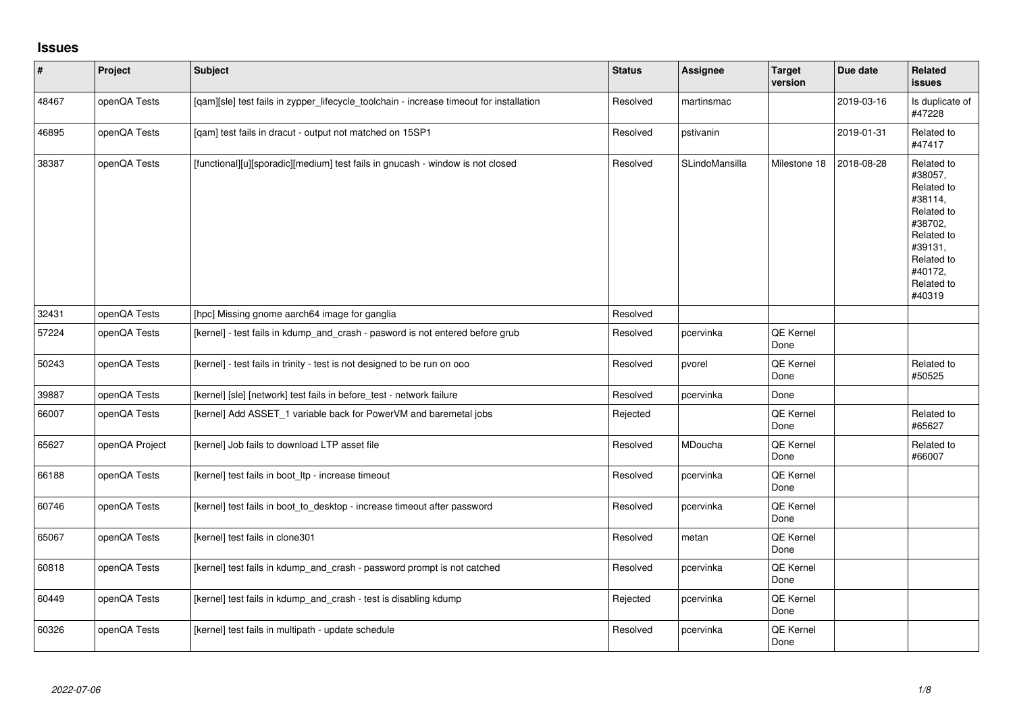## **Issues**

| $\vert$ # | Project        | <b>Subject</b>                                                                          | <b>Status</b> | <b>Assignee</b> | <b>Target</b><br>version | Due date   | Related<br><b>issues</b>                                                                                                                          |
|-----------|----------------|-----------------------------------------------------------------------------------------|---------------|-----------------|--------------------------|------------|---------------------------------------------------------------------------------------------------------------------------------------------------|
| 48467     | openQA Tests   | [qam][sle] test fails in zypper_lifecycle_toolchain - increase timeout for installation | Resolved      | martinsmac      |                          | 2019-03-16 | Is duplicate of<br>#47228                                                                                                                         |
| 46895     | openQA Tests   | [qam] test fails in dracut - output not matched on 15SP1                                | Resolved      | pstivanin       |                          | 2019-01-31 | Related to<br>#47417                                                                                                                              |
| 38387     | openQA Tests   | [functional][u][sporadic][medium] test fails in gnucash - window is not closed          | Resolved      | SLindoMansilla  | Milestone 18             | 2018-08-28 | Related to<br>#38057,<br>Related to<br>#38114,<br>Related to<br>#38702,<br>Related to<br>#39131,<br>Related to<br>#40172.<br>Related to<br>#40319 |
| 32431     | openQA Tests   | [hpc] Missing gnome aarch64 image for ganglia                                           | Resolved      |                 |                          |            |                                                                                                                                                   |
| 57224     | openQA Tests   | [kernel] - test fails in kdump_and_crash - pasword is not entered before grub           | Resolved      | pcervinka       | QE Kernel<br>Done        |            |                                                                                                                                                   |
| 50243     | openQA Tests   | [kernel] - test fails in trinity - test is not designed to be run on ooo                | Resolved      | pvorel          | <b>QE Kernel</b><br>Done |            | Related to<br>#50525                                                                                                                              |
| 39887     | openQA Tests   | [kernel] [sle] [network] test fails in before_test - network failure                    | Resolved      | pcervinka       | Done                     |            |                                                                                                                                                   |
| 66007     | openQA Tests   | [kernel] Add ASSET_1 variable back for PowerVM and baremetal jobs                       | Rejected      |                 | <b>QE Kernel</b><br>Done |            | Related to<br>#65627                                                                                                                              |
| 65627     | openQA Project | [kernel] Job fails to download LTP asset file                                           | Resolved      | <b>MDoucha</b>  | QE Kernel<br>Done        |            | Related to<br>#66007                                                                                                                              |
| 66188     | openQA Tests   | [kernel] test fails in boot_ltp - increase timeout                                      | Resolved      | pcervinka       | QE Kernel<br>Done        |            |                                                                                                                                                   |
| 60746     | openQA Tests   | [kernel] test fails in boot to desktop - increase timeout after password                | Resolved      | pcervinka       | QE Kernel<br>Done        |            |                                                                                                                                                   |
| 65067     | openQA Tests   | [kernel] test fails in clone301                                                         | Resolved      | metan           | QE Kernel<br>Done        |            |                                                                                                                                                   |
| 60818     | openQA Tests   | [kernel] test fails in kdump_and_crash - password prompt is not catched                 | Resolved      | pcervinka       | QE Kernel<br>Done        |            |                                                                                                                                                   |
| 60449     | openQA Tests   | [kernel] test fails in kdump and crash - test is disabling kdump                        | Rejected      | pcervinka       | <b>QE Kernel</b><br>Done |            |                                                                                                                                                   |
| 60326     | openQA Tests   | [kernel] test fails in multipath - update schedule                                      | Resolved      | pcervinka       | QE Kernel<br>Done        |            |                                                                                                                                                   |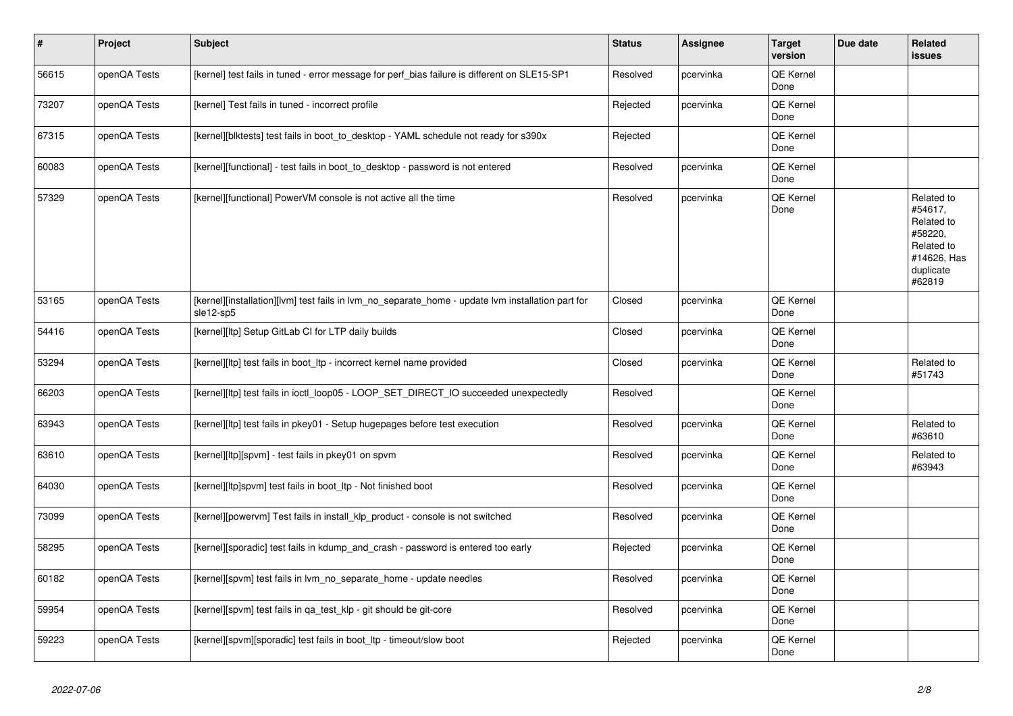| $\vert$ # | Project      | Subject                                                                                                        | <b>Status</b> | Assignee  | <b>Target</b><br>version | Due date | <b>Related</b><br>issues                                                                           |
|-----------|--------------|----------------------------------------------------------------------------------------------------------------|---------------|-----------|--------------------------|----------|----------------------------------------------------------------------------------------------------|
| 56615     | openQA Tests | [kernel] test fails in tuned - error message for perf_bias failure is different on SLE15-SP1                   | Resolved      | pcervinka | QE Kernel<br>Done        |          |                                                                                                    |
| 73207     | openQA Tests | [kernel] Test fails in tuned - incorrect profile                                                               | Rejected      | pcervinka | QE Kernel<br>Done        |          |                                                                                                    |
| 67315     | openQA Tests | [kernel][blktests] test fails in boot_to_desktop - YAML schedule not ready for s390x                           | Rejected      |           | QE Kernel<br>Done        |          |                                                                                                    |
| 60083     | openQA Tests | [kernel][functional] - test fails in boot to desktop - password is not entered                                 | Resolved      | pcervinka | <b>QE Kernel</b><br>Done |          |                                                                                                    |
| 57329     | openQA Tests | [kernel][functional] PowerVM console is not active all the time                                                | Resolved      | pcervinka | QE Kernel<br>Done        |          | Related to<br>#54617,<br>Related to<br>#58220,<br>Related to<br>#14626, Has<br>duplicate<br>#62819 |
| 53165     | openQA Tests | [kernel][installation][lvm] test fails in lvm no separate home - update lvm installation part for<br>sle12-sp5 | Closed        | pcervinka | QE Kernel<br>Done        |          |                                                                                                    |
| 54416     | openQA Tests | [kernel][ltp] Setup GitLab CI for LTP daily builds                                                             | Closed        | pcervinka | QE Kernel<br>Done        |          |                                                                                                    |
| 53294     | openQA Tests | [kernel][ltp] test fails in boot_ltp - incorrect kernel name provided                                          | Closed        | pcervinka | QE Kernel<br>Done        |          | Related to<br>#51743                                                                               |
| 66203     | openQA Tests | [kernel][ltp] test fails in ioctl loop05 - LOOP SET DIRECT IO succeeded unexpectedly                           | Resolved      |           | QE Kernel<br>Done        |          |                                                                                                    |
| 63943     | openQA Tests | [kernel][ltp] test fails in pkey01 - Setup hugepages before test execution                                     | Resolved      | pcervinka | QE Kernel<br>Done        |          | Related to<br>#63610                                                                               |
| 63610     | openQA Tests | [kernel][ltp][spvm] - test fails in pkey01 on spvm                                                             | Resolved      | pcervinka | <b>QE Kernel</b><br>Done |          | Related to<br>#63943                                                                               |
| 64030     | openQA Tests | [kernel][ltp]spvm] test fails in boot_ltp - Not finished boot                                                  | Resolved      | pcervinka | QE Kernel<br>Done        |          |                                                                                                    |
| 73099     | openQA Tests | [kernel][powervm] Test fails in install_klp_product - console is not switched                                  | Resolved      | pcervinka | QE Kernel<br>Done        |          |                                                                                                    |
| 58295     | openQA Tests | [kernel][sporadic] test fails in kdump_and_crash - password is entered too early                               | Rejected      | pcervinka | QE Kernel<br>Done        |          |                                                                                                    |
| 60182     | openQA Tests | [kernel][spvm] test fails in lvm_no_separate_home - update needles                                             | Resolved      | pcervinka | QE Kernel<br>Done        |          |                                                                                                    |
| 59954     | openQA Tests | [kernel][spvm] test fails in qa_test_klp - git should be git-core                                              | Resolved      | pcervinka | <b>QE Kernel</b><br>Done |          |                                                                                                    |
| 59223     | openQA Tests | [kernel][spvm][sporadic] test fails in boot ltp - timeout/slow boot                                            | Rejected      | pcervinka | QE Kernel<br>Done        |          |                                                                                                    |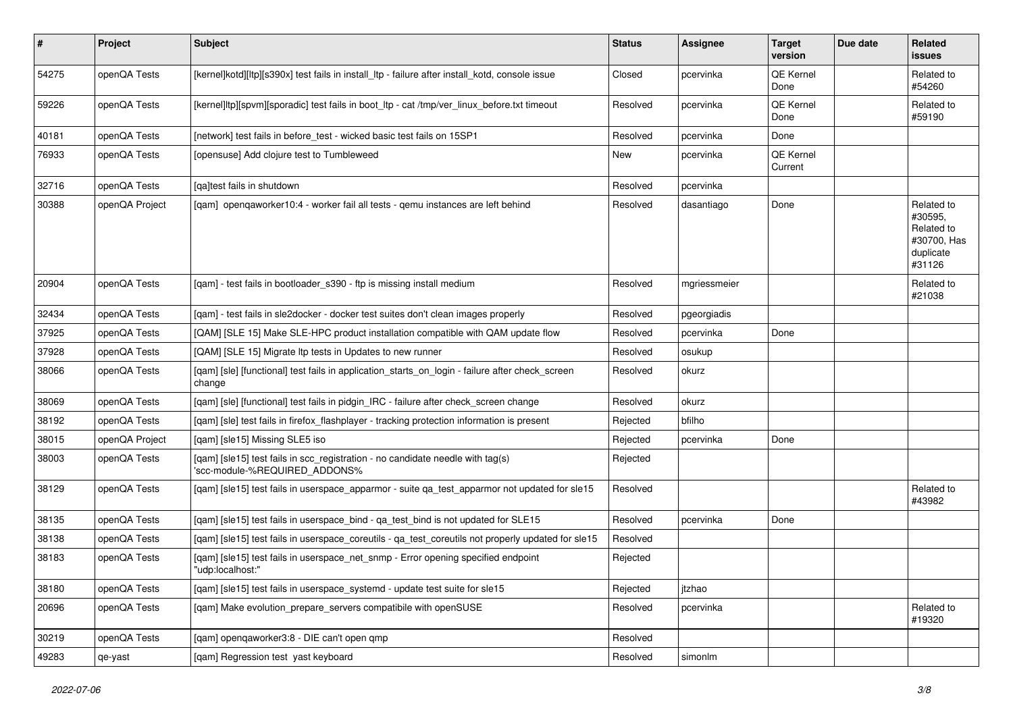| $\sharp$ | Project        | Subject                                                                                                         | <b>Status</b> | Assignee     | <b>Target</b><br>version | Due date | Related<br>issues                                                         |
|----------|----------------|-----------------------------------------------------------------------------------------------------------------|---------------|--------------|--------------------------|----------|---------------------------------------------------------------------------|
| 54275    | openQA Tests   | [kernel]kotd][ltp][s390x] test fails in install ltp - failure after install kotd, console issue                 | Closed        | pcervinka    | QE Kernel<br>Done        |          | Related to<br>#54260                                                      |
| 59226    | openQA Tests   | [kernel]ltp][spvm][sporadic] test fails in boot_ltp - cat /tmp/ver_linux_before.txt timeout                     | Resolved      | pcervinka    | QE Kernel<br>Done        |          | Related to<br>#59190                                                      |
| 40181    | openQA Tests   | [network] test fails in before test - wicked basic test fails on 15SP1                                          | Resolved      | pcervinka    | Done                     |          |                                                                           |
| 76933    | openQA Tests   | [opensuse] Add clojure test to Tumbleweed                                                                       | New           | pcervinka    | QE Kernel<br>Current     |          |                                                                           |
| 32716    | openQA Tests   | [qa]test fails in shutdown                                                                                      | Resolved      | pcervinka    |                          |          |                                                                           |
| 30388    | openQA Project | [gam] opengaworker10:4 - worker fail all tests - gemu instances are left behind                                 | Resolved      | dasantiago   | Done                     |          | Related to<br>#30595,<br>Related to<br>#30700, Has<br>duplicate<br>#31126 |
| 20904    | openQA Tests   | [gam] - test fails in bootloader s390 - ftp is missing install medium                                           | Resolved      | mgriessmeier |                          |          | Related to<br>#21038                                                      |
| 32434    | openQA Tests   | [gam] - test fails in sle2docker - docker test suites don't clean images properly                               | Resolved      | pgeorgiadis  |                          |          |                                                                           |
| 37925    | openQA Tests   | [QAM] [SLE 15] Make SLE-HPC product installation compatible with QAM update flow                                | Resolved      | pcervinka    | Done                     |          |                                                                           |
| 37928    | openQA Tests   | [QAM] [SLE 15] Migrate Itp tests in Updates to new runner                                                       | Resolved      | osukup       |                          |          |                                                                           |
| 38066    | openQA Tests   | [qam] [sle] [functional] test fails in application_starts_on_login - failure after check_screen<br>change       | Resolved      | okurz        |                          |          |                                                                           |
| 38069    | openQA Tests   | [qam] [sle] [functional] test fails in pidgin_IRC - failure after check_screen change                           | Resolved      | okurz        |                          |          |                                                                           |
| 38192    | openQA Tests   | [qam] [sle] test fails in firefox_flashplayer - tracking protection information is present                      | Rejected      | bfilho       |                          |          |                                                                           |
| 38015    | openQA Project | [qam] [sle15] Missing SLE5 iso                                                                                  | Rejected      | pcervinka    | Done                     |          |                                                                           |
| 38003    | openQA Tests   | [qam] [sle15] test fails in scc_registration - no candidate needle with tag(s)<br>'scc-module-%REQUIRED ADDONS% | Rejected      |              |                          |          |                                                                           |
| 38129    | openQA Tests   | [qam] [sle15] test fails in userspace_apparmor - suite qa_test_apparmor not updated for sle15                   | Resolved      |              |                          |          | Related to<br>#43982                                                      |
| 38135    | openQA Tests   | [qam] [sle15] test fails in userspace_bind - qa_test_bind is not updated for SLE15                              | Resolved      | pcervinka    | Done                     |          |                                                                           |
| 38138    | openQA Tests   | [qam] [sle15] test fails in userspace_coreutils - qa_test_coreutils not properly updated for sle15              | Resolved      |              |                          |          |                                                                           |
| 38183    | openQA Tests   | [qam] [sle15] test fails in userspace_net_snmp - Error opening specified endpoint<br>"udp:localhost:"           | Rejected      |              |                          |          |                                                                           |
| 38180    | openQA Tests   | [qam] [sle15] test fails in userspace_systemd - update test suite for sle15                                     | Rejected      | jtzhao       |                          |          |                                                                           |
| 20696    | openQA Tests   | [gam] Make evolution prepare servers compatibile with openSUSE                                                  | Resolved      | pcervinka    |                          |          | Related to<br>#19320                                                      |
| 30219    | openQA Tests   | [qam] openqaworker3:8 - DIE can't open qmp                                                                      | Resolved      |              |                          |          |                                                                           |
| 49283    | qe-yast        | [qam] Regression test yast keyboard                                                                             | Resolved      | simonlm      |                          |          |                                                                           |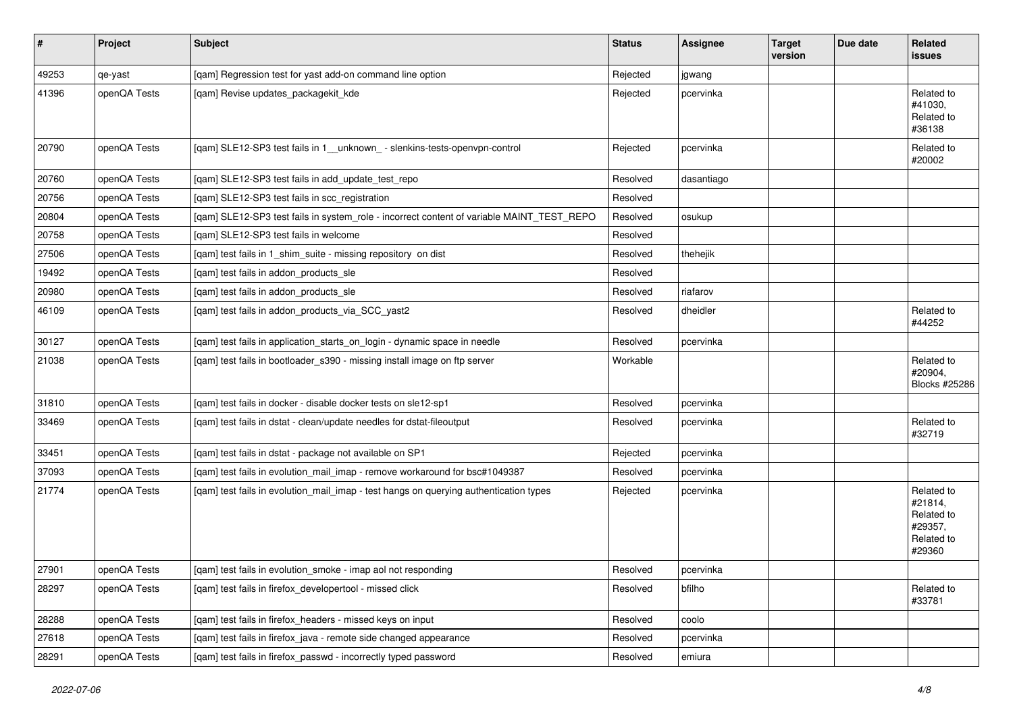| $\vert$ # | Project      | <b>Subject</b>                                                                            | <b>Status</b> | <b>Assignee</b> | <b>Target</b><br>version | Due date | Related<br>issues                                                      |
|-----------|--------------|-------------------------------------------------------------------------------------------|---------------|-----------------|--------------------------|----------|------------------------------------------------------------------------|
| 49253     | qe-yast      | [qam] Regression test for yast add-on command line option                                 | Rejected      | jgwang          |                          |          |                                                                        |
| 41396     | openQA Tests | [qam] Revise updates_packagekit_kde                                                       | Rejected      | pcervinka       |                          |          | Related to<br>#41030,<br>Related to<br>#36138                          |
| 20790     | openQA Tests | [qam] SLE12-SP3 test fails in 1_unknown_-slenkins-tests-openvpn-control                   | Rejected      | pcervinka       |                          |          | Related to<br>#20002                                                   |
| 20760     | openQA Tests | [qam] SLE12-SP3 test fails in add_update_test_repo                                        | Resolved      | dasantiago      |                          |          |                                                                        |
| 20756     | openQA Tests | [qam] SLE12-SP3 test fails in scc_registration                                            | Resolved      |                 |                          |          |                                                                        |
| 20804     | openQA Tests | [qam] SLE12-SP3 test fails in system_role - incorrect content of variable MAINT_TEST_REPO | Resolved      | osukup          |                          |          |                                                                        |
| 20758     | openQA Tests | [gam] SLE12-SP3 test fails in welcome                                                     | Resolved      |                 |                          |          |                                                                        |
| 27506     | openQA Tests | [qam] test fails in 1_shim_suite - missing repository on dist                             | Resolved      | thehejik        |                          |          |                                                                        |
| 19492     | openQA Tests | [qam] test fails in addon_products_sle                                                    | Resolved      |                 |                          |          |                                                                        |
| 20980     | openQA Tests | [qam] test fails in addon_products_sle                                                    | Resolved      | riafarov        |                          |          |                                                                        |
| 46109     | openQA Tests | [qam] test fails in addon_products_via_SCC_yast2                                          | Resolved      | dheidler        |                          |          | Related to<br>#44252                                                   |
| 30127     | openQA Tests | [qam] test fails in application_starts_on_login - dynamic space in needle                 | Resolved      | pcervinka       |                          |          |                                                                        |
| 21038     | openQA Tests | [qam] test fails in bootloader_s390 - missing install image on ftp server                 | Workable      |                 |                          |          | Related to<br>#20904,<br>Blocks #25286                                 |
| 31810     | openQA Tests | [qam] test fails in docker - disable docker tests on sle12-sp1                            | Resolved      | pcervinka       |                          |          |                                                                        |
| 33469     | openQA Tests | [gam] test fails in dstat - clean/update needles for dstat-fileoutput                     | Resolved      | pcervinka       |                          |          | Related to<br>#32719                                                   |
| 33451     | openQA Tests | [qam] test fails in dstat - package not available on SP1                                  | Rejected      | pcervinka       |                          |          |                                                                        |
| 37093     | openQA Tests | [qam] test fails in evolution_mail_imap - remove workaround for bsc#1049387               | Resolved      | pcervinka       |                          |          |                                                                        |
| 21774     | openQA Tests | [qam] test fails in evolution_mail_imap - test hangs on querying authentication types     | Rejected      | pcervinka       |                          |          | Related to<br>#21814,<br>Related to<br>#29357,<br>Related to<br>#29360 |
| 27901     | openQA Tests | [qam] test fails in evolution_smoke - imap aol not responding                             | Resolved      | pcervinka       |                          |          |                                                                        |
| 28297     | openQA Tests | [gam] test fails in firefox developertool - missed click                                  | Resolved      | bfilho          |                          |          | Related to<br>#33781                                                   |
| 28288     | openQA Tests | [gam] test fails in firefox headers - missed keys on input                                | Resolved      | coolo           |                          |          |                                                                        |
| 27618     | openQA Tests | [qam] test fails in firefox_java - remote side changed appearance                         | Resolved      | pcervinka       |                          |          |                                                                        |
| 28291     | openQA Tests | [qam] test fails in firefox_passwd - incorrectly typed password                           | Resolved      | emiura          |                          |          |                                                                        |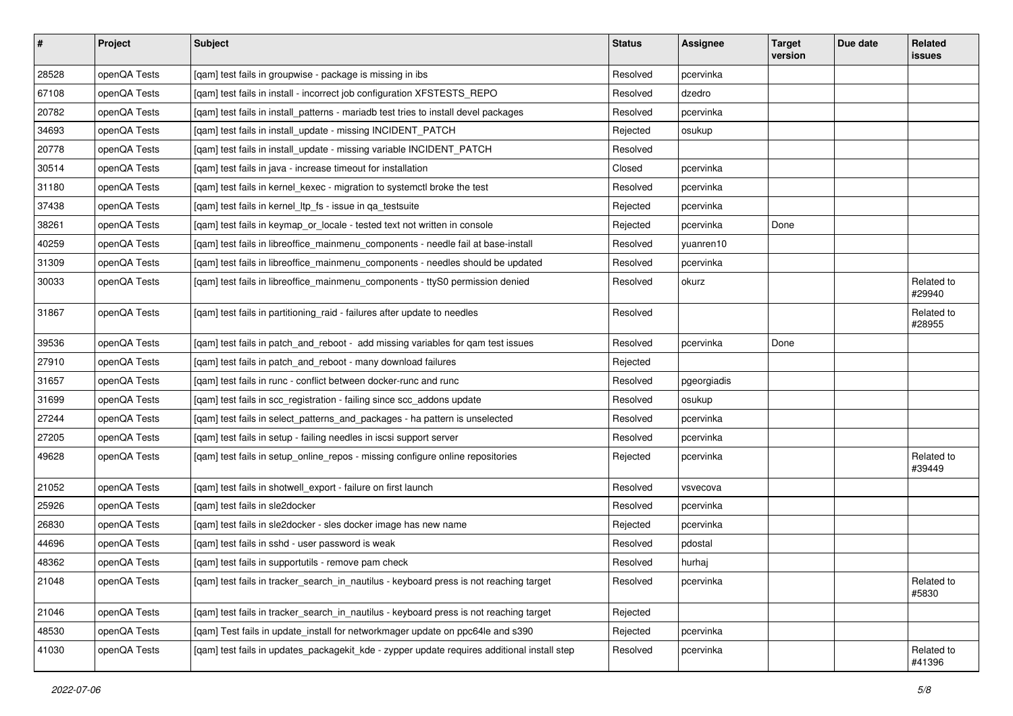| $\vert$ # | Project      | Subject                                                                                     | <b>Status</b> | Assignee    | <b>Target</b><br>version | Due date | Related<br>issues    |
|-----------|--------------|---------------------------------------------------------------------------------------------|---------------|-------------|--------------------------|----------|----------------------|
| 28528     | openQA Tests | [qam] test fails in groupwise - package is missing in ibs                                   | Resolved      | pcervinka   |                          |          |                      |
| 67108     | openQA Tests | [qam] test fails in install - incorrect job configuration XFSTESTS_REPO                     | Resolved      | dzedro      |                          |          |                      |
| 20782     | openQA Tests | [qam] test fails in install_patterns - mariadb test tries to install devel packages         | Resolved      | pcervinka   |                          |          |                      |
| 34693     | openQA Tests | [qam] test fails in install_update - missing INCIDENT_PATCH                                 | Rejected      | osukup      |                          |          |                      |
| 20778     | openQA Tests | [qam] test fails in install_update - missing variable INCIDENT_PATCH                        | Resolved      |             |                          |          |                      |
| 30514     | openQA Tests | [qam] test fails in java - increase timeout for installation                                | Closed        | pcervinka   |                          |          |                      |
| 31180     | openQA Tests | [qam] test fails in kernel_kexec - migration to systemctl broke the test                    | Resolved      | pcervinka   |                          |          |                      |
| 37438     | openQA Tests | [qam] test fails in kernel_ltp_fs - issue in qa_testsuite                                   | Rejected      | pcervinka   |                          |          |                      |
| 38261     | openQA Tests | [qam] test fails in keymap_or_locale - tested text not written in console                   | Rejected      | pcervinka   | Done                     |          |                      |
| 40259     | openQA Tests | [gam] test fails in libreoffice mainmenu components - needle fail at base-install           | Resolved      | yuanren10   |                          |          |                      |
| 31309     | openQA Tests | [qam] test fails in libreoffice_mainmenu_components - needles should be updated             | Resolved      | pcervinka   |                          |          |                      |
| 30033     | openQA Tests | [qam] test fails in libreoffice_mainmenu_components - ttyS0 permission denied               | Resolved      | okurz       |                          |          | Related to<br>#29940 |
| 31867     | openQA Tests | [qam] test fails in partitioning_raid - failures after update to needles                    | Resolved      |             |                          |          | Related to<br>#28955 |
| 39536     | openQA Tests | [qam] test fails in patch_and_reboot - add missing variables for qam test issues            | Resolved      | pcervinka   | Done                     |          |                      |
| 27910     | openQA Tests | [qam] test fails in patch_and_reboot - many download failures                               | Rejected      |             |                          |          |                      |
| 31657     | openQA Tests | [qam] test fails in runc - conflict between docker-runc and runc                            | Resolved      | pgeorgiadis |                          |          |                      |
| 31699     | openQA Tests | [qam] test fails in scc_registration - failing since scc_addons update                      | Resolved      | osukup      |                          |          |                      |
| 27244     | openQA Tests | [qam] test fails in select_patterns_and_packages - ha pattern is unselected                 | Resolved      | pcervinka   |                          |          |                      |
| 27205     | openQA Tests | [qam] test fails in setup - failing needles in iscsi support server                         | Resolved      | pcervinka   |                          |          |                      |
| 49628     | openQA Tests | [qam] test fails in setup_online_repos - missing configure online repositories              | Rejected      | pcervinka   |                          |          | Related to<br>#39449 |
| 21052     | openQA Tests | [qam] test fails in shotwell_export - failure on first launch                               | Resolved      | vsvecova    |                          |          |                      |
| 25926     | openQA Tests | [qam] test fails in sle2docker                                                              | Resolved      | pcervinka   |                          |          |                      |
| 26830     | openQA Tests | [qam] test fails in sle2docker - sles docker image has new name                             | Rejected      | pcervinka   |                          |          |                      |
| 44696     | openQA Tests | [gam] test fails in sshd - user password is weak                                            | Resolved      | pdostal     |                          |          |                      |
| 48362     | openQA Tests | [gam] test fails in supportutils - remove pam check                                         | Resolved      | hurhaj      |                          |          |                      |
| 21048     | openQA Tests | [qam] test fails in tracker_search_in_nautilus - keyboard press is not reaching target      | Resolved      | pcervinka   |                          |          | Related to<br>#5830  |
| 21046     | openQA Tests | [gam] test fails in tracker_search_in_nautilus - keyboard press is not reaching target      | Rejected      |             |                          |          |                      |
| 48530     | openQA Tests | [qam] Test fails in update_install for networkmager update on ppc64le and s390              | Rejected      | pcervinka   |                          |          |                      |
| 41030     | openQA Tests | [qam] test fails in updates_packagekit_kde - zypper update requires additional install step | Resolved      | pcervinka   |                          |          | Related to<br>#41396 |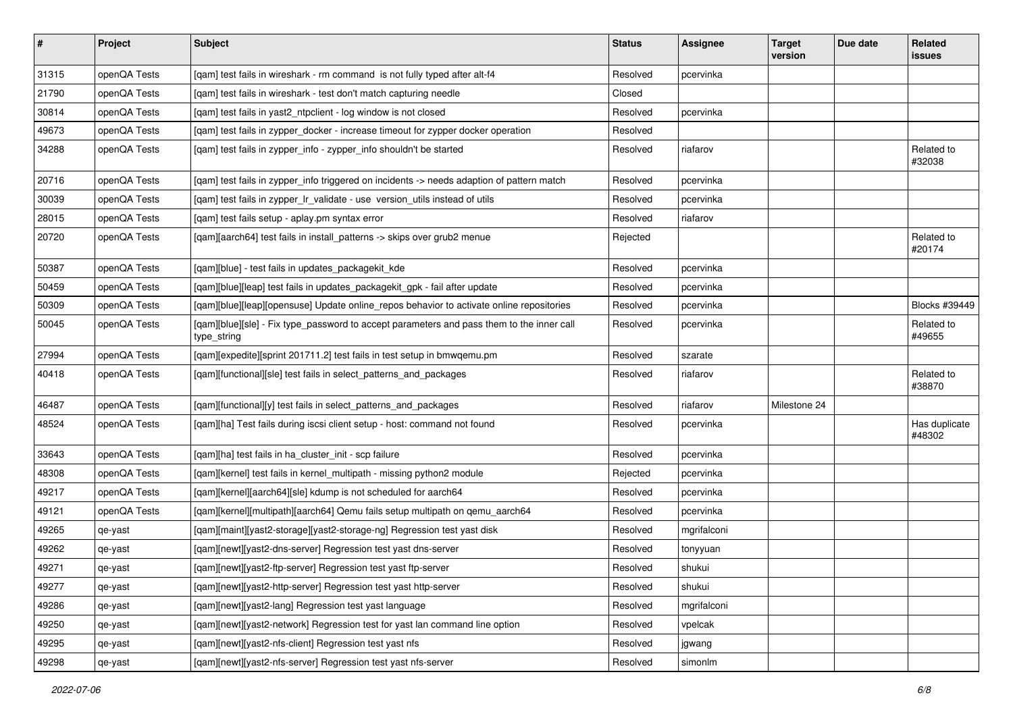| $\vert$ # | Project      | <b>Subject</b>                                                                                           | <b>Status</b> | <b>Assignee</b> | <b>Target</b><br>version | Due date | Related<br>issues       |
|-----------|--------------|----------------------------------------------------------------------------------------------------------|---------------|-----------------|--------------------------|----------|-------------------------|
| 31315     | openQA Tests | [qam] test fails in wireshark - rm command is not fully typed after alt-f4                               | Resolved      | pcervinka       |                          |          |                         |
| 21790     | openQA Tests | [gam] test fails in wireshark - test don't match capturing needle                                        | Closed        |                 |                          |          |                         |
| 30814     | openQA Tests | [qam] test fails in yast2_ntpclient - log window is not closed                                           | Resolved      | pcervinka       |                          |          |                         |
| 49673     | openQA Tests | [qam] test fails in zypper_docker - increase timeout for zypper docker operation                         | Resolved      |                 |                          |          |                         |
| 34288     | openQA Tests | [qam] test fails in zypper_info - zypper_info shouldn't be started                                       | Resolved      | riafarov        |                          |          | Related to<br>#32038    |
| 20716     | openQA Tests | [gam] test fails in zypper info triggered on incidents -> needs adaption of pattern match                | Resolved      | pcervinka       |                          |          |                         |
| 30039     | openQA Tests | [qam] test fails in zypper_lr_validate - use version_utils instead of utils                              | Resolved      | pcervinka       |                          |          |                         |
| 28015     | openQA Tests | [qam] test fails setup - aplay.pm syntax error                                                           | Resolved      | riafarov        |                          |          |                         |
| 20720     | openQA Tests | [qam][aarch64] test fails in install_patterns -> skips over grub2 menue                                  | Rejected      |                 |                          |          | Related to<br>#20174    |
| 50387     | openQA Tests | [qam][blue] - test fails in updates_packagekit_kde                                                       | Resolved      | pcervinka       |                          |          |                         |
| 50459     | openQA Tests | [qam][blue][leap] test fails in updates_packagekit_gpk - fail after update                               | Resolved      | pcervinka       |                          |          |                         |
| 50309     | openQA Tests | [qam][blue][leap][opensuse] Update online_repos behavior to activate online repositories                 | Resolved      | pcervinka       |                          |          | Blocks #39449           |
| 50045     | openQA Tests | [qam][blue][sle] - Fix type_password to accept parameters and pass them to the inner call<br>type_string | Resolved      | pcervinka       |                          |          | Related to<br>#49655    |
| 27994     | openQA Tests | [qam][expedite][sprint 201711.2] test fails in test setup in bmwqemu.pm                                  | Resolved      | szarate         |                          |          |                         |
| 40418     | openQA Tests | [qam][functional][sle] test fails in select_patterns_and_packages                                        | Resolved      | riafarov        |                          |          | Related to<br>#38870    |
| 46487     | openQA Tests | [qam][functional][y] test fails in select_patterns_and_packages                                          | Resolved      | riafarov        | Milestone 24             |          |                         |
| 48524     | openQA Tests | [qam][ha] Test fails during iscsi client setup - host: command not found                                 | Resolved      | pcervinka       |                          |          | Has duplicate<br>#48302 |
| 33643     | openQA Tests | [gam][ha] test fails in ha cluster init - scp failure                                                    | Resolved      | pcervinka       |                          |          |                         |
| 48308     | openQA Tests | [qam][kernel] test fails in kernel_multipath - missing python2 module                                    | Rejected      | pcervinka       |                          |          |                         |
| 49217     | openQA Tests | [qam][kernel][aarch64][sle] kdump is not scheduled for aarch64                                           | Resolved      | pcervinka       |                          |          |                         |
| 49121     | openQA Tests | [qam][kernel][multipath][aarch64] Qemu fails setup multipath on qemu_aarch64                             | Resolved      | pcervinka       |                          |          |                         |
| 49265     | qe-yast      | [qam][maint][yast2-storage][yast2-storage-ng] Regression test yast disk                                  | Resolved      | mgrifalconi     |                          |          |                         |
| 49262     | qe-yast      | [qam][newt][yast2-dns-server] Regression test yast dns-server                                            | Resolved      | tonyyuan        |                          |          |                         |
| 49271     | qe-yast      | [qam][newt][yast2-ftp-server] Regression test yast ftp-server                                            | Resolved      | shukui          |                          |          |                         |
| 49277     | qe-yast      | [qam][newt][yast2-http-server] Regression test yast http-server                                          | Resolved      | shukui          |                          |          |                         |
| 49286     | qe-yast      | [qam][newt][yast2-lang] Regression test yast language                                                    | Resolved      | mgrifalconi     |                          |          |                         |
| 49250     | qe-yast      | [qam][newt][yast2-network] Regression test for yast lan command line option                              | Resolved      | vpelcak         |                          |          |                         |
| 49295     | qe-yast      | [qam][newt][yast2-nfs-client] Regression test yast nfs                                                   | Resolved      | jgwang          |                          |          |                         |
| 49298     | qe-yast      | [qam][newt][yast2-nfs-server] Regression test yast nfs-server                                            | Resolved      | simonlm         |                          |          |                         |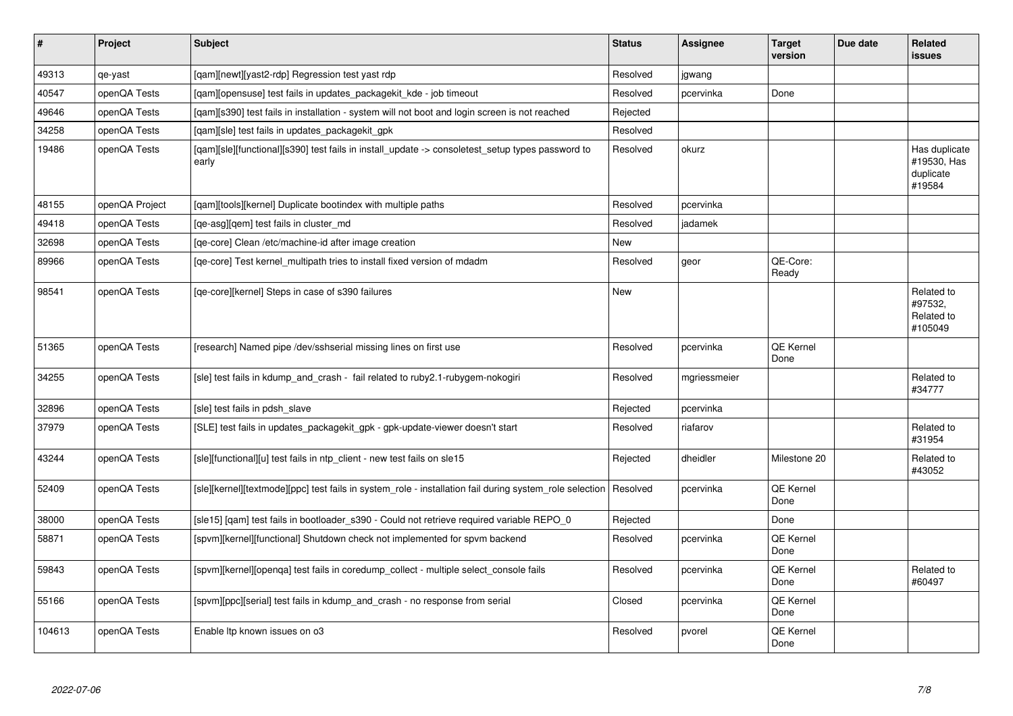| $\sharp$ | Project        | <b>Subject</b>                                                                                            | <b>Status</b> | <b>Assignee</b> | <b>Target</b><br>version | Due date | <b>Related</b><br>issues                            |
|----------|----------------|-----------------------------------------------------------------------------------------------------------|---------------|-----------------|--------------------------|----------|-----------------------------------------------------|
| 49313    | qe-yast        | [qam][newt][yast2-rdp] Regression test yast rdp                                                           | Resolved      | jgwang          |                          |          |                                                     |
| 40547    | openQA Tests   | [gam][opensuse] test fails in updates packagekit kde - job timeout                                        | Resolved      | pcervinka       | Done                     |          |                                                     |
| 49646    | openQA Tests   | [gam][s390] test fails in installation - system will not boot and login screen is not reached             | Rejected      |                 |                          |          |                                                     |
| 34258    | openQA Tests   | [qam][sle] test fails in updates_packagekit_gpk                                                           | Resolved      |                 |                          |          |                                                     |
| 19486    | openQA Tests   | [qam][sle][functional][s390] test fails in install_update -> consoletest_setup types password to<br>early | Resolved      | okurz           |                          |          | Has duplicate<br>#19530, Has<br>duplicate<br>#19584 |
| 48155    | openQA Project | [qam][tools][kernel] Duplicate bootindex with multiple paths                                              | Resolved      | pcervinka       |                          |          |                                                     |
| 49418    | openQA Tests   | [qe-asg][qem] test fails in cluster_md                                                                    | Resolved      | jadamek         |                          |          |                                                     |
| 32698    | openQA Tests   | [ge-core] Clean /etc/machine-id after image creation                                                      | New           |                 |                          |          |                                                     |
| 89966    | openQA Tests   | [qe-core] Test kernel multipath tries to install fixed version of mdadm                                   | Resolved      | geor            | QE-Core:<br>Ready        |          |                                                     |
| 98541    | openQA Tests   | [ge-core][kernel] Steps in case of s390 failures                                                          | New           |                 |                          |          | Related to<br>#97532,<br>Related to<br>#105049      |
| 51365    | openQA Tests   | [research] Named pipe /dev/sshserial missing lines on first use                                           | Resolved      | pcervinka       | QE Kernel<br>Done        |          |                                                     |
| 34255    | openQA Tests   | [sle] test fails in kdump and crash - fail related to ruby2.1-rubygem-nokogiri                            | Resolved      | mgriessmeier    |                          |          | Related to<br>#34777                                |
| 32896    | openQA Tests   | [sle] test fails in pdsh slave                                                                            | Rejected      | pcervinka       |                          |          |                                                     |
| 37979    | openQA Tests   | [SLE] test fails in updates packagekit gpk - gpk-update-viewer doesn't start                              | Resolved      | riafarov        |                          |          | Related to<br>#31954                                |
| 43244    | openQA Tests   | [sle][functional][u] test fails in ntp_client - new test fails on sle15                                   | Rejected      | dheidler        | Milestone 20             |          | Related to<br>#43052                                |
| 52409    | openQA Tests   | [sle][kernel][textmode][ppc] test fails in system_role - installation fail during system_role selection   | Resolved      | pcervinka       | <b>QE Kernel</b><br>Done |          |                                                     |
| 38000    | openQA Tests   | [sle15] [qam] test fails in bootloader_s390 - Could not retrieve required variable REPO_0                 | Rejected      |                 | Done                     |          |                                                     |
| 58871    | openQA Tests   | [spvm][kernel][functional] Shutdown check not implemented for spvm backend                                | Resolved      | pcervinka       | QE Kernel<br>Done        |          |                                                     |
| 59843    | openQA Tests   | [spvm][kernel][openqa] test fails in coredump_collect - multiple select_console fails                     | Resolved      | pcervinka       | QE Kernel<br>Done        |          | Related to<br>#60497                                |
| 55166    | openQA Tests   | [spvm][ppc][serial] test fails in kdump and crash - no response from serial                               | Closed        | pcervinka       | QE Kernel<br>Done        |          |                                                     |
| 104613   | openQA Tests   | Enable Itp known issues on o3                                                                             | Resolved      | pvorel          | QE Kernel<br>Done        |          |                                                     |